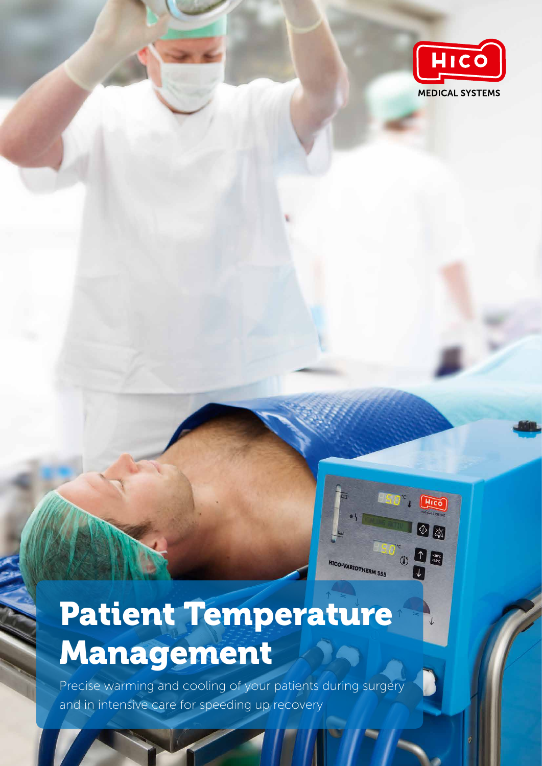

HICO

 $\circ$   $\boxtimes$ 

 $\begin{array}{|c|c|}\hline \textbf{1} & \textbf{38}^{\circ}\textbf{C} \\ \hline \textbf{33}^{\circ}\textbf{C} & \textbf{128}^{\circ}\textbf{C} \\ \hline \end{array}$ 

HICO-VARIOTHERM 555

# Patient Temperature Management

Precise warming and cooling of your patients during surgery and in intensive care for speeding up recovery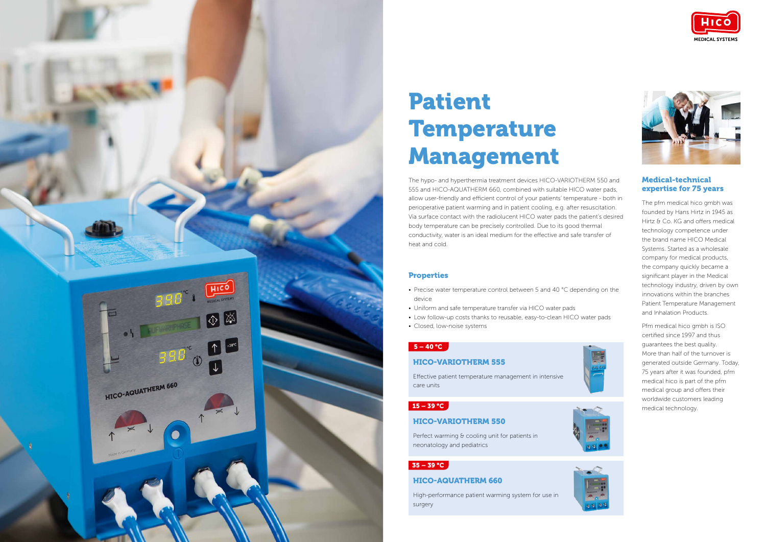

# Patient Temperature Management

The hypo- and hyperthermia treatment devices HICO-VARIOTHERM 550 and 555 and HICO-AQUATHERM 660, combined with suitable HICO water pads, allow user-friendly and efficient control of your patients' temperature - both in perioperative patient warming and in patient cooling, e.g. after resuscitation. Via surface contact with the radiolucent HICO water pads the patient's desired body temperature can be precisely controlled. Due to its good thermal conductivity, water is an ideal medium for the effective and safe transfer of heat and cold.

### **Properties**

#### Medical-technical expertise for 75 years

The pfm medical hico gmbh was founded by Hans Hirtz in 1945 as Hirtz & Co. KG and offers medical technology competence under the brand name HICO Medical Systems. Started as a wholesale company for medical products, the company quickly became a significant player in the Medical technology industry, driven by own innovations within the branches Patient Temperature Management and Inhalation Products.

Perfect warming & cooling unit for patients in neonatology and pediatrics

### $35 - 39 °C$

Pfm medical hico gmbh is ISO certified since 1997 and thus guarantees the best quality. More than half of the turnover is generated outside Germany. Today, 75 years after it was founded, pfm medical hico is part of the pfm medical group and offers their worldwide customers leading medical technology.



- Precise water temperature control between 5 and 40 °C depending on the device
- Uniform and safe temperature transfer via HICO water pads
- Low follow-up costs thanks to reusable, easy-to-clean HICO water pads
- Closed, low-noise systems

#### $5 - 40$  °C

#### HICO-AQUATHERM 660

High-performance patient warming system for use in surgery







#### HICO-VARIOTHERM 555

Effective patient temperature management in intensive care units

#### $15 - 39 °C$

#### HICO-VARIOTHERM 550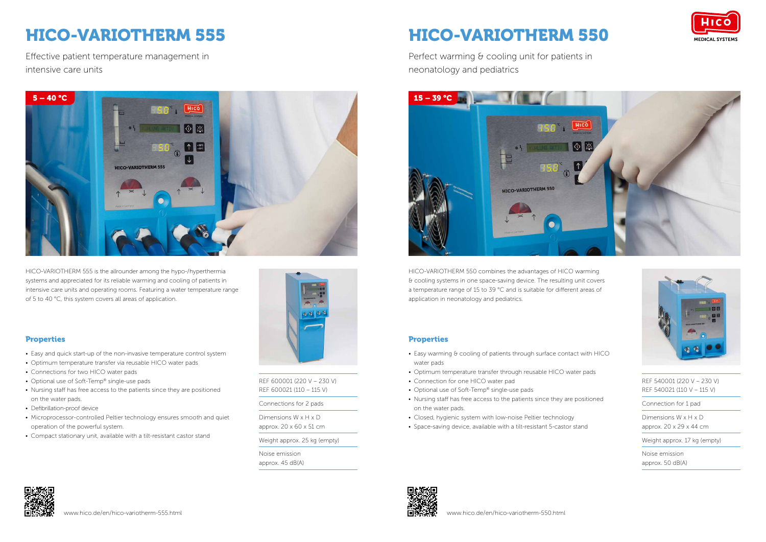### HICO-VARIOTHERM 550

Perfect warming & cooling unit for patients in neonatology and pediatrics



### HICO-VARIOTHERM 555

Effective patient temperature management in intensive care units







HICO-VARIOTHERM 555 is the allrounder among the hypo-/hyperthermia systems and appreciated for its reliable warming and cooling of patients in intensive care units and operating rooms. Featuring a water temperature range of 5 to 40 °C, this system covers all areas of application.

HICO-VARIOTHERM 550 combines the advantages of HICO warming & cooling systems in one space-saving device. The resulting unit covers a temperature range of 15 to 39 °C and is suitable for different areas of application in neonatology and pediatrics.





REF 600001 (220 V – 230 V) REF 600021 (110 – 115 V)

Connections for 2 pads

Dimensions W x H x D approx. 20 x 60 x 51 cm

Weight approx. 25 kg (empty)

Noise emission approx. 45 dB(A) REF 540001 (220 V – 230 V) REF 540021 (110 V – 115 V)

Connection for 1 pad

- Easy warming & cooling of patients through surface contact with HICO water pads
- Optimum temperature transfer through reusable HICO water pads
- Connection for one HICO water pad
- Optional use of Soft-Temp® single-use pads
- Nursing staff has free access to the patients since they are positioned on the water pads.
- Closed, hygienic system with low-noise Peltier technology
- Space-saving device, available with a tilt-resistant 5-castor stand



Dimensions W x H x D approx. 20 x 29 x 44 cm

Weight approx. 17 kg (empty)

Noise emission approx. 50 dB(A)

#### Properties

- Easy and quick start-up of the non-invasive temperature control system
- Optimum temperature transfer via reusable HICO water pads
- Connections for two HICO water pads
- Optional use of Soft-Temp® single-use pads
- Nursing staff has free access to the patients since they are positioned on the water pads.
- Defibrillation-proof device
- Microprocessor-controlled Peltier technology ensures smooth and quiet operation of the powerful system.
- Compact stationary unit, available with a tilt-resistant castor stand



#### Properties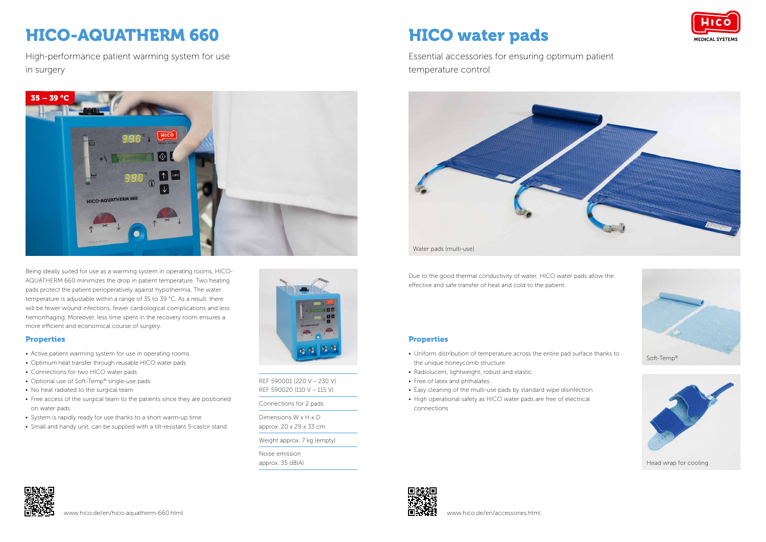### HICO-AQUATHERM 660

High-performance patient warming system for use in surgery

Being ideally suited for use as a warming system in operating rooms, HICO-AQUATHERM 660 minimizes the drop in patient temperature. Two heating pads protect the patient perioperatively against hypothermia. The water temperature is adjustable within a range of 35 to 39 °C. As a result, there will be fewer wound infections, fewer cardiological complications and less hemorrhaging. Moreover, less time spent in the recovery room ensures a more efficient and economical course of surgery.

#### **Properties**





REF 590001 (220 V – 230 V) REF 590020 (110 V – 115 V)

Connections for 2 pads

Dimensions W x H x D approx. 20 x 29 x 33 cm

Weight approx. 7 kg (empty)

Noise emission approx. 35 dB(A)

- Active patient warming system for use in operating rooms
- Optimum heat transfer through reusable HICO water pads
- Connections for two HICO water pads
- Optional use of Soft-Temp® single-use pads
- No heat radiated to the surgical team
- Free access of the surgical team to the patients since they are positioned on water pads
- System is rapidly ready for use thanks to a short warm-up time
- Small and handy unit, can be supplied with a tilt-resistant 5-castor stand



Due to the good thermal conductivity of water, HICO water pads allow the effective and safe transfer of heat and cold to the patient.

#### **Properties**

## HICO water pads

Essential accessories for ensuring optimum patient temperature control



- Uniform distribution of temperature across the entire pad surface thanks to the unique honeycomb structure
- Radiolucent, lightweight, robust and elastic
- Free of latex and phthalates
- Easy cleaning of the multi-use pads by standard wipe disinfection • High operational safety as HICO water pads are free of electrical connections







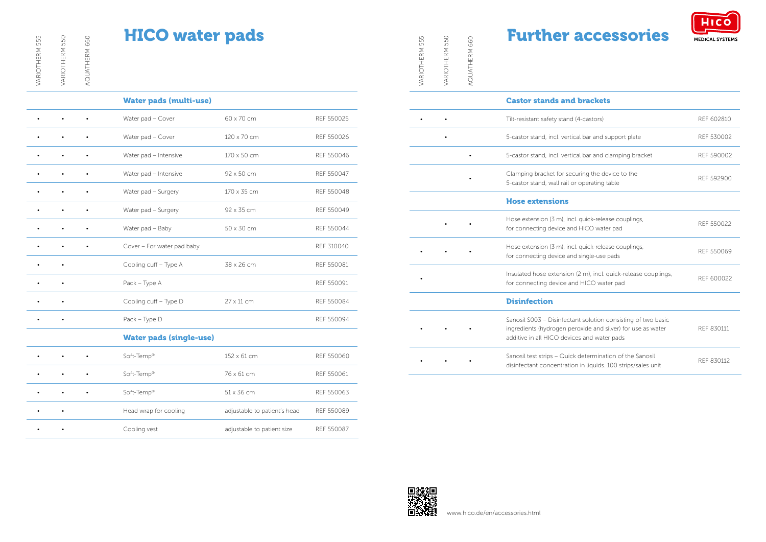VARIOTHERM 555

AQUATHERM 660

AQUATHERM 660

|           |           |           | <b>Water pads (multi-use)</b>  |                              |            |
|-----------|-----------|-----------|--------------------------------|------------------------------|------------|
|           | $\bullet$ | $\bullet$ | Water pad - Cover              | 60 x 70 cm                   | REF 550025 |
|           |           | $\bullet$ | Water pad - Cover              | 120 x 70 cm                  | REF 550026 |
|           |           | $\bullet$ | Water pad - Intensive          | 170 x 50 cm                  | REF 550046 |
|           |           | $\bullet$ | Water pad - Intensive          | 92 x 50 cm                   | REF 550047 |
|           |           | $\bullet$ | Water pad - Surgery            | 170 x 35 cm                  | REF 550048 |
|           |           | $\bullet$ | Water pad - Surgery            | 92 x 35 cm                   | REF 550049 |
|           |           |           | Water pad - Baby               | 50 x 30 cm                   | REF 550044 |
|           |           |           | Cover - For water pad baby     |                              | REF 310040 |
|           |           |           | Cooling cuff - Type A          | 38 x 26 cm                   | REF 550081 |
|           |           |           | Pack - Type A                  |                              | REF 550091 |
|           |           |           | Cooling cuff - Type D          | 27 x 11 cm                   | REF 550084 |
| $\bullet$ | $\bullet$ |           | Pack - Type D                  |                              | REF 550094 |
|           |           |           | <b>Water pads (single-use)</b> |                              |            |
|           |           |           | Soft-Temp®                     | 152 x 61 cm                  | REF 550060 |
|           |           |           | Soft-Temp®                     | 76 x 61 cm                   | REF 550061 |
|           |           | $\bullet$ | Soft-Temp®                     | 51 x 36 cm                   | REF 550063 |
|           |           |           | Head wrap for cooling          | adjustable to patient's head | REF 550089 |

• • Cooling vest adjustable to patient size REF 550087

### HICO water pads

| 5<br>55<br>VARIOTHERM | 550<br>VARIOTHERM | 660<br>AQUATHERM | <b>Further accessories</b>                                                                                                                                                 | <b>MEDICAL SYSTEMS</b> |
|-----------------------|-------------------|------------------|----------------------------------------------------------------------------------------------------------------------------------------------------------------------------|------------------------|
|                       |                   |                  | <b>Castor stands and brackets</b>                                                                                                                                          |                        |
|                       |                   |                  | Tilt-resistant safety stand (4-castors)                                                                                                                                    | REF 602810             |
|                       |                   |                  | 5-castor stand, incl. vertical bar and support plate                                                                                                                       | REF 530002             |
|                       |                   |                  | 5-castor stand, incl. vertical bar and clamping bracket                                                                                                                    | REF 590002             |
|                       |                   |                  | Clamping bracket for securing the device to the<br>5-castor stand, wall rail or operating table                                                                            | REF 592900             |
|                       |                   |                  | <b>Hose extensions</b>                                                                                                                                                     |                        |
|                       |                   |                  | Hose extension (3 m), incl. quick-release couplings,<br>for connecting device and HICO water pad                                                                           | REF 550022             |
|                       |                   |                  | Hose extension (3 m), incl. quick-release couplings,<br>for connecting device and single-use pads                                                                          | REF 550069             |
|                       |                   |                  | Insulated hose extension (2 m), incl. quick-release couplings,<br>for connecting device and HICO water pad                                                                 | REF 600022             |
|                       |                   |                  | <b>Disinfection</b>                                                                                                                                                        |                        |
|                       |                   |                  | Sanosil S003 - Disinfectant solution consisting of two basic<br>ingredients (hydrogen peroxide and silver) for use as water<br>additive in all HICO devices and water pads | REF 830111             |
|                       |                   |                  | Sanosil test strips - Quick determination of the Sanosil<br>disinfectant concentration in liquids. 100 strips/sales unit                                                   | REF 830112             |





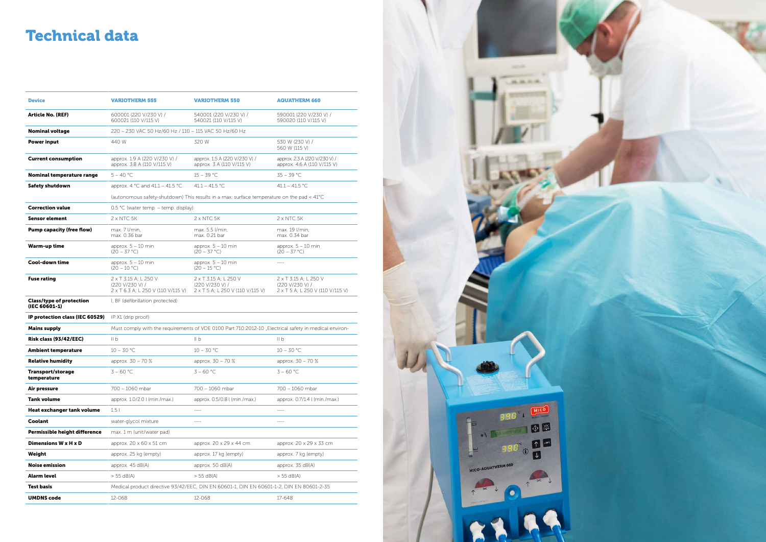| <b>Device</b>                                             | <b>VARIOTHERM 555</b>                                                                                 | <b>VARIOTHERM 550</b>                                                                     | <b>AQUATHERM 660</b>                                                         |  |  |
|-----------------------------------------------------------|-------------------------------------------------------------------------------------------------------|-------------------------------------------------------------------------------------------|------------------------------------------------------------------------------|--|--|
| <b>Article No. (REF)</b>                                  | 600001 (220 V/230 V) /<br>600021 (110 V/115 V)                                                        | 540001 (220 V/230 V) /<br>540021 (110 V/115 V)                                            | 590001 (220 V/230 V) /<br>590020 (110 V/115 V)                               |  |  |
| <b>Nominal voltage</b>                                    | 220 - 230 VAC 50 Hz/60 Hz / 110 - 115 VAC 50 Hz/60 Hz                                                 |                                                                                           |                                                                              |  |  |
| <b>Power input</b>                                        | 440 W                                                                                                 | 320 W                                                                                     | 530 W (230 V) /<br>560 W (115 V)                                             |  |  |
| <b>Current consumption</b>                                | approx. 1.9 A (220 V/230 V) /<br>approx. 3.8 A (110 V/115 V)                                          | approx. 1.5 A (220 V/230 V) /<br>approx. 3 A (110 V/115 V)                                | approx. 2.3 A (220 V/230 V) /<br>approx. 4.6 A (110 V/115 V)                 |  |  |
| Nominal temperature range                                 | $5 - 40 °C$                                                                                           | $15 - 39 °C$                                                                              | $35 - 39 °C$                                                                 |  |  |
| <b>Safety shutdown</b>                                    | approx. 4 °C and 41.1 – 41.5 °C                                                                       | 41.1 - 41.5 °C                                                                            | 41.1 - 41.5 °C                                                               |  |  |
|                                                           |                                                                                                       | (autonomous safety-shutdown) This results in a max. surface temperature on the pad < 41°C |                                                                              |  |  |
| <b>Correction value</b>                                   | 0.5 °C (water temp. - temp. display)                                                                  |                                                                                           |                                                                              |  |  |
| <b>Sensor element</b>                                     | 2 x NTC 5K                                                                                            | 2 x NTC 5K                                                                                | 2 x NTC 5K                                                                   |  |  |
| <b>Pump capacity (free flow)</b>                          | max. 7 l/min,<br>max. 0.36 bar                                                                        | max. 5.5 l/min,<br>max. 0.21 bar                                                          | max. 19 l/min,<br>max. 0.34 bar                                              |  |  |
| <b>Warm-up time</b>                                       | approx. $5 - 10$ min<br>$(20 - 37 °C)$                                                                | approx. $5 - 10$ min<br>$(20 - 37 \degree C)$                                             | approx. $5 - 10$ min<br>$(20 - 37 \degree C)$                                |  |  |
| Cool-down time                                            | approx. $5 - 10$ min<br>$(20 - 10 °C)$                                                                | approx. $5 - 10$ min<br>$(20 - 15 °C)$                                                    | $---$                                                                        |  |  |
| <b>Fuse rating</b>                                        | 2 x T 3.15 A; L 250 V<br>(220 V/230 V) /<br>2 x T 6.3 A; L 250 V (110 V/115 V)                        | 2 x T 3.15 A; L 250 V<br>(220 V/230 V) /<br>2 x T 5 A; L 250 V (110 V/115 V)              | 2 x T 3.15 A: L 250 V<br>(220 V/230 V) /<br>2 x T 5 A; L 250 V (110 V/115 V) |  |  |
| <b>Class/type of protection</b><br>(IEC 60601-1)          | I, BF (defibrillation protected)                                                                      |                                                                                           |                                                                              |  |  |
| <b>IP protection class (IEC 60529)</b> IP X1 (drip proof) |                                                                                                       |                                                                                           |                                                                              |  |  |
| <b>Mains supply</b>                                       | Must comply with the requirements of VDE 0100 Part 710:2012-10 "Electrical safety in medical environ- |                                                                                           |                                                                              |  |  |
| Risk class (93/42/EEC)                                    | II <sub>b</sub>                                                                                       | $\mathsf{II} \mathsf{b}$                                                                  | II b                                                                         |  |  |
| <b>Ambient temperature</b>                                | $10 - 30 °C$                                                                                          | $10 - 30 °C$                                                                              | $10 - 30 °C$                                                                 |  |  |
| <b>Relative humidity</b>                                  | approx. 30 - 70 %                                                                                     | approx. 30 - 70 %                                                                         | approx. 30 - 70 %                                                            |  |  |
| Transport/storage<br>temperature                          | $3 - 60 °C$                                                                                           | $3 - 60 °C$                                                                               | $3 - 60 °C$                                                                  |  |  |
| Air pressure                                              | 700 - 1060 mbar                                                                                       | 700 - 1060 mbar                                                                           | 700 - 1060 mbar                                                              |  |  |
| Tank volume                                               | approx. 1.0/2.0 l (min./max.)                                                                         | approx. 0.5/0.8 l (min./max.)                                                             | approx. 0.7/1.4 l (min./max.)                                                |  |  |
| Heat exchanger tank volume                                | 1.5 <sub>l</sub>                                                                                      | ----                                                                                      | $--- - -$                                                                    |  |  |
| Coolant                                                   | water-glycol mixture                                                                                  | ----                                                                                      | $--- -$                                                                      |  |  |
| Permissible height difference                             | max. 1 m (unit/water pad)                                                                             |                                                                                           |                                                                              |  |  |
| Dimensions W x H x D                                      | approx. 20 x 60 x 51 cm                                                                               | approx. 20 x 29 x 44 cm                                                                   | approx. 20 x 29 x 33 cm                                                      |  |  |
| Weight                                                    | approx. 25 kg (empty)                                                                                 | approx. 17 kg (empty)                                                                     | approx. 7 kg (empty)                                                         |  |  |
| <b>Noise emission</b>                                     | approx. 45 dB(A)                                                                                      | approx. 50 dB(A)                                                                          | approx. $35 dB(A)$                                                           |  |  |
| Alarm level                                               | $> 55$ dB(A)                                                                                          | $> 55$ dB(A)                                                                              | $> 55$ dB(A)                                                                 |  |  |
| <b>Test basis</b>                                         |                                                                                                       | Medical product directive 93/42/EEC, DIN EN 60601-1, DIN EN 60601-1-2, DIN EN 80601-2-35  |                                                                              |  |  |
| <b>UMDNS code</b>                                         | 12-068                                                                                                | 12-068                                                                                    | 17-648                                                                       |  |  |



### Technical data